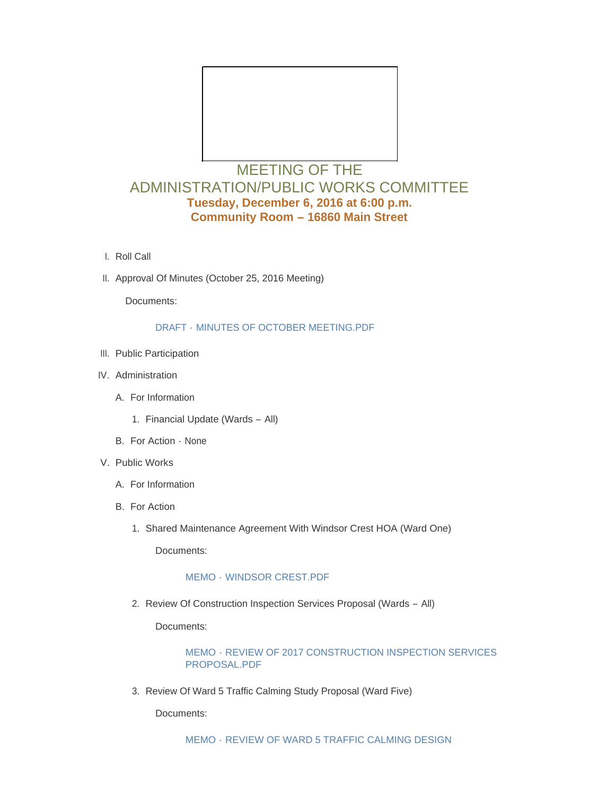

# MEETING OF THE ADMINISTRATION/PUBLIC WORKS COMMITTEE **Tuesday, December 6, 2016 at 6:00 p.m. Community Room – 16860 Main Street**

- l. Roll Call
- II. Approval Of Minutes (October 25, 2016 Meeting)

Documents:

#### DRAFT - [MINUTES OF OCTOBER MEETING.PDF](http://www.cityofwildwood.com/AgendaCenter/ViewFile/Item/9122?fileID=13395)

- III. Public Participation
- IV. Administration
	- A. For Information
		- 1. Financial Update (Wards All)
	- B. For Action None
- V. Public Works
	- A. For Information
	- B. For Action
		- 1. Shared Maintenance Agreement With Windsor Crest HOA (Ward One)

Documents:

### MEMO - [WINDSOR CREST.PDF](http://www.cityofwildwood.com/AgendaCenter/ViewFile/Item/9131?fileID=13396)

2. Review Of Construction Inspection Services Proposal (Wards - All)

Documents:

### MEMO - [REVIEW OF 2017 CONSTRUCTION INSPECTION SERVICES](http://www.cityofwildwood.com/AgendaCenter/ViewFile/Item/9132?fileID=13397)  PROPOSAL.PDF

3. Review Of Ward 5 Traffic Calming Study Proposal (Ward Five)

Documents: